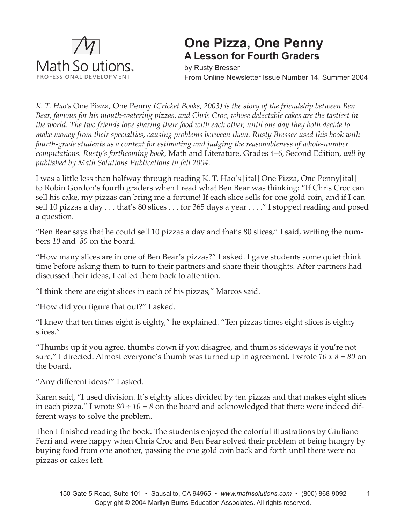

## **One Pizza, One Penny A Lesson for Fourth Graders**

by Rusty Bresser From Online Newsletter Issue Number 14, Summer 2004

*K. T. Hao's* One Pizza, One Penny *(Cricket Books, 2003) is the story of the friendship between Ben Bear, famous for his mouth-watering pizzas, and Chris Croc, whose delectable cakes are the tastiest in the world. The two friends love sharing their food with each other, until one day they both decide to make money from their specialties, causing problems between them. Rusty Bresser used this book with fourth-grade students as a context for estimating and judging the reasonableness of whole-number computations. Rusty's forthcoming book,* Math and Literature, Grades 4–6, Second Edition, *will by published by Math Solutions Publications in fall 2004.* 

I was a little less than halfway through reading K. T. Hao's [ital] One Pizza, One Penny[ital] to Robin Gordon's fourth graders when I read what Ben Bear was thinking: "If Chris Croc can sell his cake, my pizzas can bring me a fortune! If each slice sells for one gold coin, and if I can sell 10 pizzas a day . . . that's 80 slices . . . for 365 days a year . . . ." I stopped reading and posed a question.

"Ben Bear says that he could sell 10 pizzas a day and that's 80 slices," I said, writing the numbers *10* and *80* on the board.

"How many slices are in one of Ben Bear's pizzas?" I asked. I gave students some quiet think time before asking them to turn to their partners and share their thoughts. After partners had discussed their ideas, I called them back to attention.

"I think there are eight slices in each of his pizzas," Marcos said.

"How did you figure that out?" I asked.

"I knew that ten times eight is eighty," he explained. "Ten pizzas times eight slices is eighty slices."

"Thumbs up if you agree, thumbs down if you disagree, and thumbs sideways if you're not sure," I directed. Almost everyone's thumb was turned up in agreement. I wrote *10 x 8 = 80* on the board.

"Any different ideas?" I asked.

Karen said, "I used division. It's eighty slices divided by ten pizzas and that makes eight slices in each pizza." I wrote *80 ÷ 10 = 8* on the board and acknowledged that there were indeed different ways to solve the problem.

Then I finished reading the book. The students enjoyed the colorful illustrations by Giuliano Ferri and were happy when Chris Croc and Ben Bear solved their problem of being hungry by buying food from one another, passing the one gold coin back and forth until there were no pizzas or cakes left.

1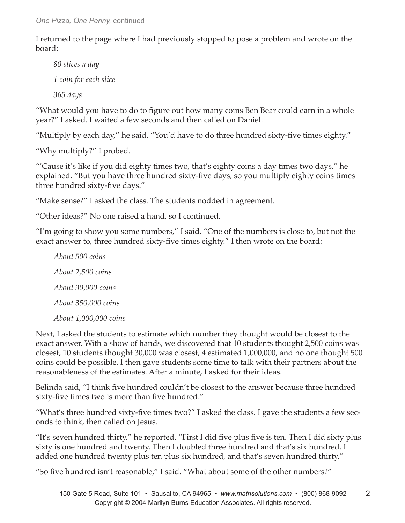I returned to the page where I had previously stopped to pose a problem and wrote on the board:

*80 slices a day 1 coin for each slice 365 days*

"What would you have to do to figure out how many coins Ben Bear could earn in a whole year?" I asked. I waited a few seconds and then called on Daniel.

"Multiply by each day," he said. "You'd have to do three hundred sixty-five times eighty."

"Why multiply?" I probed.

"'Cause it's like if you did eighty times two, that's eighty coins a day times two days," he explained. "But you have three hundred sixty-five days, so you multiply eighty coins times three hundred sixty-five days."

"Make sense?" I asked the class. The students nodded in agreement.

"Other ideas?" No one raised a hand, so I continued.

"I'm going to show you some numbers," I said. "One of the numbers is close to, but not the exact answer to, three hundred sixty-five times eighty." I then wrote on the board:

*About 500 coins About 2,500 coins About 30,000 coins About 350,000 coins About 1,000,000 coins*

Next, I asked the students to estimate which number they thought would be closest to the exact answer. With a show of hands, we discovered that 10 students thought 2,500 coins was closest, 10 students thought 30,000 was closest, 4 estimated 1,000,000, and no one thought 500 coins could be possible. I then gave students some time to talk with their partners about the reasonableness of the estimates. After a minute, I asked for their ideas.

Belinda said, "I think five hundred couldn't be closest to the answer because three hundred sixty-five times two is more than five hundred."

"What's three hundred sixty-five times two?" I asked the class. I gave the students a few seconds to think, then called on Jesus.

"It's seven hundred thirty," he reported. "First I did five plus five is ten. Then I did sixty plus sixty is one hundred and twenty. Then I doubled three hundred and that's six hundred. I added one hundred twenty plus ten plus six hundred, and that's seven hundred thirty."

"So five hundred isn't reasonable," I said. "What about some of the other numbers?"